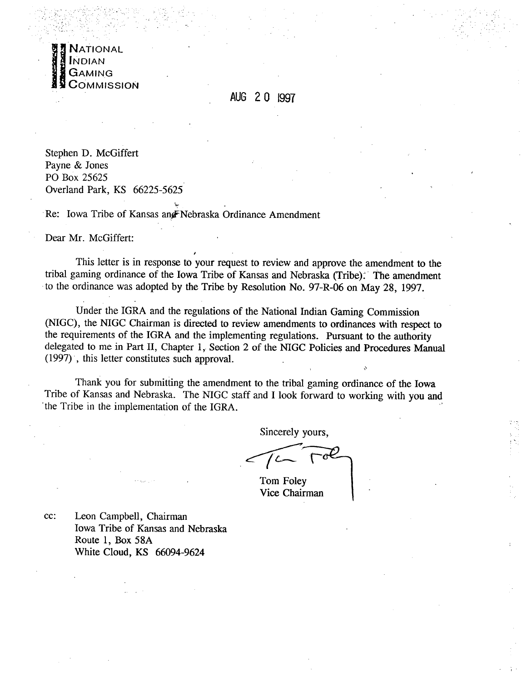

AUG 2 0 1997

Stephen D. McGiffert Payne & Jones PO Box 25625 Overland Park, KS 66225-5625

Re: Iowa Tribe of Kansas angFNebraska Ordinance Amendment

/

**TL-**

Dear Mr. McGiffert:

This letter is in response to your request to review and approve the amendment to the tribal gaming ordinance of the Iowa Tribe of Kansas and Nebraska (Tribe): The amendment to the ordinance was adopted by the Tribe by Resolution No. 97-R-06 on May 28, 1997.

Under the IGRA and the regulations of the National Indian Gaming Commission (NIGC), the NIGC Chairman is directed to review amendments to ordinances with respect to the requirements of the IGRA and the implementing regulations. Pursuant to the authority delegated to me in Part II, Chapter 1, Section 2 of the NIGC Policies and Procedures Manual (1997) ', this letter constitutes such approval.

Thank you for submitting the amendment to the tribal gaming ordinance of the Iowa Tribe of Kansas and Nebraska. The NIGC staff and I look forward to working with you and 'the Tribe in the implementation of the IGRA.

Sincerely yours,

 $\mathbf \cdot$ 

Tom Foley Vice Chairman

cc: Leon Campbell, Chairman Iowa Tribe of Kansas and Nebraska Route 1, **Box** 58A White Cloud, KS 66094-9624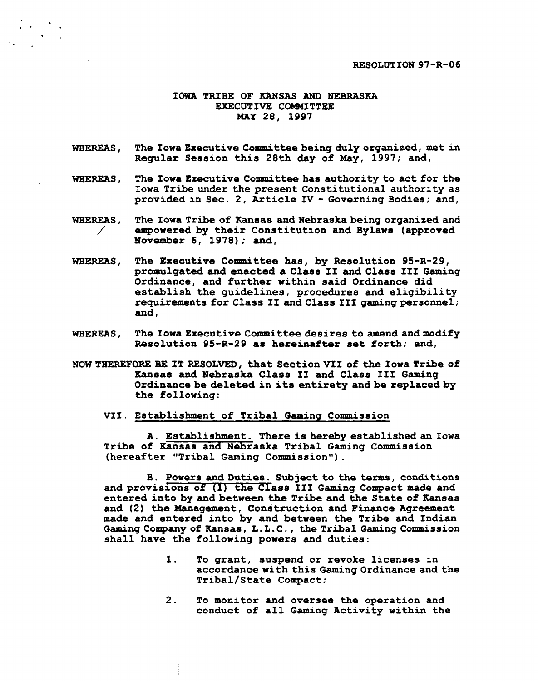## **IOWA TRIBE OF KANSAS AND NEBRASKA** EXECUTIVE COMMITTEE **MAY 28, 1997**

- WHEREAS, The Iowa Executive Committee being duly organized, met in **Regular Session this 28th day of May, 1997; and,**
- **WHEREAS, The Iowa Executive Connuittee has authority to act for the Iowa Tribe under the present Constitutional authority as provided in Sec. 2, Article** IV - **Governing Bodies; and,**
- WHEREAS, The Iowa Tribe of Kansas and Nebraska being organized and *1'* **empowered by their Constitution and Bylaws (approved November 6, 1978); and,**
- **WHEREAS, The Executive Committee has, by Resolution 95-R-29, promulgated and enacted a Claas I I and Class I11 Gaming Ordinance, and further within said Ordinance did establish the guidelines, procedures and eligibility**  requirements for Class II and Class III gaming personnel; and.
- **WHEREAS, The Iowa Executive Committee desires to amend and modify Resolution 95-R-29 as hereinafter set forth; and,**
- **NOW THEREFORE Bg IT RESOLVED, that Section VfI of the Iowa Tribe of Kansas and Nebraska Class I1 and Class 111 Gaming Ordinance be deleted in its entirety and be replaced by the following:** 
	- **VII. Establishment of Tribal Gamina Commission**

**A. Establishment. There is hereby established an Iowa Tribe of Kansas and Nebraska Tribal Gaming Commission (hereafter "Tribal Gaming Commission").** 

**B. Powers and Duties. Subject to the terms, conditions**  and provisions of (1) the Class III Gaming Compact made and **entered into by and between the Tribe and the State of Kansas and (2) the Management, Construction and Finance Agreement made and entered into by and between the Tribe and Indian Gaming Company of Kansas** , **L** . **L** . **C** . , **the Tribal Gaming Commission shall have the following powers and duties:** 

- **1. To grant, suspend or revoke licenaes in accordance with this Gaming Ordinance and the Tribal/State Compact;**
- **2. To monitor and oversee the operation and conduct of all Gaming Activity within the**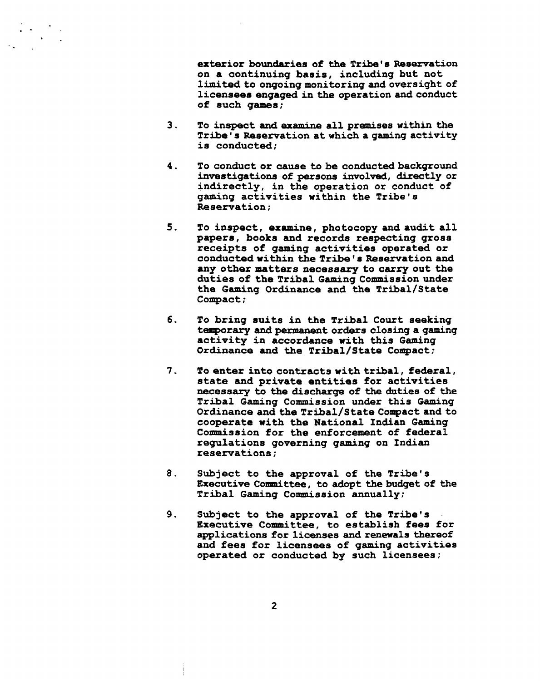exterior boundaries of the Tribe's Reservation on a continuing basis, including but not limited to ongoing monitoring **and** oversight of licensees **engaged** in **the** operation **and** conduct of such **games;** 

- **3.** To inspect **and ex-** all premises within **the**  Tribe ' **s** Rseervation at which a **gaming** activity is conducted;
- **4.** To conduct or cause to be conducted background investigations of persons involved, directly or indirectly, in **the** operation or conduct of gaming activities within the Tribe's Reservation:
- $5.$ To inspect, examine, photocopy **and** audit all papers, books **and** recorda respecting gross receipts of gaming activities operated or conducted within the Tribe's Reservation and **any** other matters necessary to carry out **the**  duties of the Tribal Gaming Commission under the Gaming Ordinance and the **Tribal/State** Compact;
- 6. To bring auits in **the** Tribal Court seeking tenporary **and** pemanent orders closing a **gaming**  activity in accordance with **this** Gaming Ordinance **and the** Tribal/State Compact;
- $7.$ To enter into contracts with tribal, federal, state **and** private entities for activities necessary to the **dischaxge** of **the** duties of **the**  Tribal Gaming Commission under this Gaming Ordinance and the Tribal/State Compact and to cooperate with the National Indian Gaming Commission for the enforcement of federal regulations governing gaming on Indian reservations :
- 8. Subject to the approval of the Tribe's **Executive** Committee, to adopt **the** budget of **the**  Tribal Gaming Commission annually;
- 9. Subject to **the** approval of **the** Tribe's Executive Committee, to establish fees for applications for licenses and renewals thereof and fees for licensees of gaming activities operated or conducted by such licensees;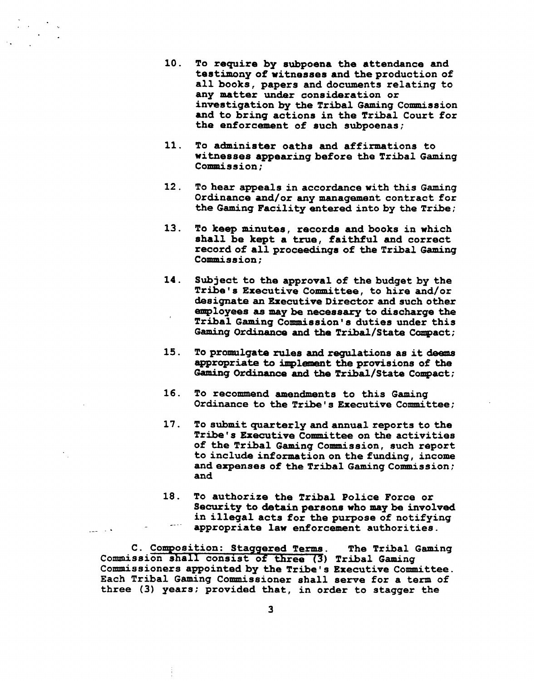- **10.** To require by subpoena the attendance and testimony of witnesses and the production of all books, papers and documents relating to any matter under conaideration or investigation by **the** Tribal Gaming Commission and to bring actions in **the** Tribal Court for the enforcement of such subpoenas;
- 11. To administer oaths and affirmations to witnesses appearing before **the** Tribal Gaming Commission;
- **12** . To hear appeals in accordance with this Gaming Ordinance and/or any management contract for the **Gaming** Facility entered into by the Tribe;
- 13. To keep **minutes,** records **and** books in which shall be kept a **true,** faithful and correct record of all proceedings of the Tribal Gaming<br>Commission;
- **14.** Subject to the approval of the budget by the Tribe's Executive Committee, to hire and/or designate an Executive Director and such other enployees **aa** may be neceaaaxy to discharge the Tribal Gaming Conmission **s** duties under this Gaming Ordinance and the Tribal/State Compact;
- **15.** To promulgate rules **and** regulations as it **deaua**  appropriate to implanaant **the** provisions of **the**  Gaming Ordinance and the Tribal/State Compact;
- 16. To recommend amendments to this Gaming Ordinance to the Tribe's Executive Committee;
- **17.** To submit quarterly and annual reports to **the**  Tribe's Executive Committee on the activities of **the** Tribal Gaming Commission, such report to include information on the funding, income and expenses of the Tribal Gaming Commission; and
- 18. To authorize the Tribal Police Force or Security to detain persons who may be involved -. . in illegal acts for the purpose of notifying -. . . appropriate law enforcement authorities.

C. Composition: Staggered Terms. The Tribal Gaming Commission shall consist of three (3) Tribal Gaming Commissioners appointed by the Tribe's Executive Committee. Each Tribal Gaming Commissioner shall serve for a term of three (3) years: provided that, in order to stagger the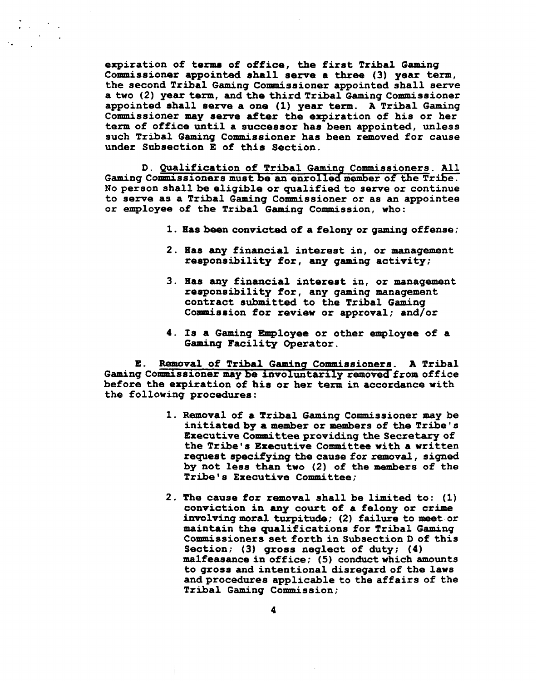**expiration of terma of office, the first Tribal Gaming**  Commissioner appointed shall serve a three (3) year term, **the second Tribal Gaming Commissioner appointed shall seme a two (2) year tezm, and the third Tribal Gaming Commissioner appointed shall serve a one (1) year term. A Tribal Gaming Commissioner may serve after the expiration of his or her term of office until a successor haa been appointed, unless such Tribal Gaming Commissioner has been removed for cause under Subsection E of this Section.** 

**D. Qualification of Tribal Gaminq Commissioners. All**  Gaming Commissioners must be an enrolled member of the Tribe. **No person shall be eligible or qualified to serve or continue to serve as a Tribal Gaming Commissioner or as an appointee or employee of the Tribal Gaming Conmission, who:** 

- **1. Has been convicted of a felony or gaming offense;**
- **2. Has any financial interest in, or management responsibility for, any gaming activity;**
- **3. Has any financial interest in, or management responsibility for, any gaming management contract submitted to the Tribal Gaming**  Commission for review or approval; and/or
- **4. Is a Gaming Employee or other employee of a Gaming Facility Operator.**

**E. Removal of Tribal Gaming Commissioners. A Tribal**  Gaming Commissioner may be involuntarily removed from office **before the expiration of his or her term in accordance with the following procedures:** 

- **1. Removal of a Tribal Gaming Commissioner may be initiated by a member or memhers of the Tribe's Executive Committee providing the Secretary of** the Tribe's Executive Committee with a written **request specifying the cause for removal, signed by not less than two (2) of the members of the Tribe's Executive Committee;**
- **2. The cause for removal shall be limited to: (1) conviction in any court of a felony or crime involving moral turpitude; (2) failure to meet or maintain the qualifications for Tribal Gaming Commissioners set forth in Subsection D of this Section; (3) gross neglect of duty; (4) malfeasance in office; (5) conduct which amounts to grosa and intentional disregard of the laws and procedures applicable to the affairs of the Tribal Gaming Commission;**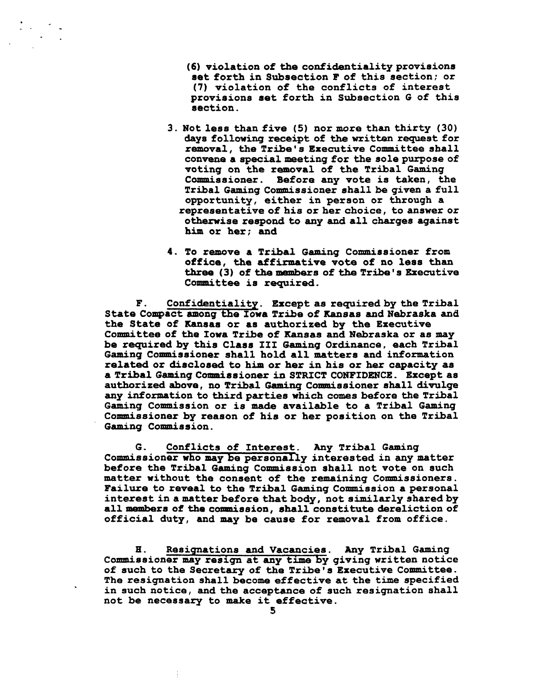**(6) violation of the confidentiality provisions get forth in Subsection F of this section; or (7) violation of the conflicts of interest provisions net forth in Subsection G of thia section.** 

- **3. Not less than five (5) nor more than thirty (30) days following receipt of the written request for removal, the Tribe's Executive Committee shall convene a special meeting for the sole purpose of voting on the removal of the Tribal Gaming Commissioner. Before any vote ia taken, the Tribal Gaming Commissioner ahall be given a full opportunity, either in peraon or through a representativeof his or her choice, to answer or otherwise respond to any and all charges againat him or her; and**
- **4. To remove a Tribal Gaming Commissioner from office, the affirmative vote of no leas than**  three (3) of the members of the Tribe's Executive **Committee is required.**

**F. Confidentiality** . **Except as required by the Tribal State Compact among the Iowa Tribe of Kansas and Nebraska and the State of Kanaas or as authorized by the Executive Committee of the Iowa Tribe of Xansas and Nebraska or aa may be required by thia Class 111 Gaming Ordinance, each Tribal Gaming Commissioner shall hold all mattera and information related or diacloaed to him or her in his or her capacity as a Tribal Gaming Comntiasioner in STRICT CONFIDENCE. Except as authorized above, no Tribal** Gaming **Commissioner ahall divulge any infoxmation to third parties which comes before the Tribal Gaming Commission or is made available to a Tribal Gaming Commissioner by reason of his or her position on the Tribal Gaming Commission.** 

**G. Conflicts of Interest. Any Tribal Gaming Commissioner who may be personally interested in any matter before the Tribal Gaming Commission shall not vote on such**  matter without the consent of the remaining Commissioners. Failure to reveal to the Tribal Gaming Commission a personal interest in a matter before that body, not similarly shared by **all members of the conmiasion, shall constitute dereliction of official duty, and may be cause for removal from office.** 

**H. Resignations and Vacancies. Any Tribal Gaming Commissioner may resign at any time by giving written notice of such to the Secretary of the Tribe's Executive Committee. The resignation shall become effective at the time specified in such notice, and the acceptance of such resignation shall not be necessary to make it effective.**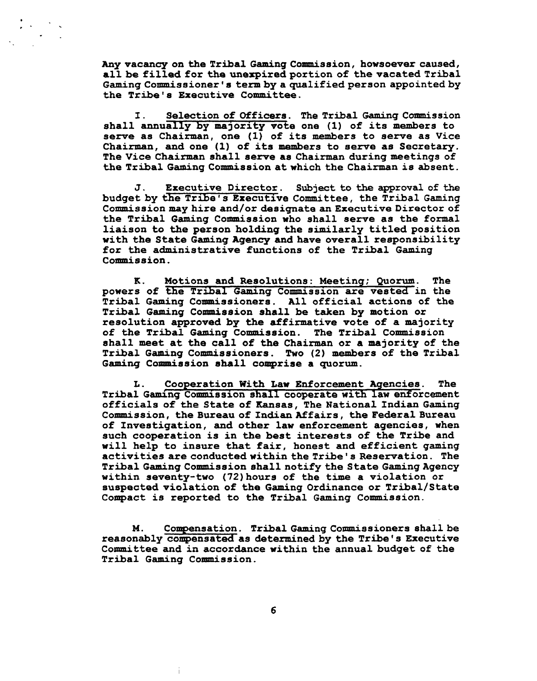**Any vacancy on the Tribal Gaming Commission, howsoever caused, all be filled for the unerpired portion of the vacated Tribal Gaming Commissioner's termbyaqualifiedperson appointedby the Tribe's Executive Committee.** 

**I. Selection of Officers** . **The Tribal Gaming Commission**  shall annually by majority vote one (1) of its members to serve as Chairman, one (1) of its members to serve as Vice **Chairman, and one (1) of its members to serve as Secretary. The Vice Chairman shall serve as Chairman during meetings of the Tribal Gaming Commission at which the Chairman is absent.** 

**J** . **Executive Director. Subject to the approval of the budget by &e Tribe's Executive Committee, the Tribal Gaming**  Commission may hire and/or designate an Executive Director of **the Tribal Gaming Commission who shall serve as the formal liaison to the person holding the similarly titled position with the State Gaming Agency and have overall reeponsibility for the administrative functions of the Tribal Gaming Commission.** 

**K. Motions and Resolutions: Meeting; Quorum. The powers of the Tribal Gaming Commission are vested in the**  Tribal Gaming Commissioners. All official actions of the Tribal Gaming Commission shall be taken by motion or **resolution approved by the affirmative vote of a majority of the Tribal Gaming Commission. The Tribal Commission shall meet at the call of the Chairman or a majority of the Tribal Gaming Commissioners. Two (2) members of the Tribal Gaming Conmission ahall comprise a quorum.** 

**L. Cooparation With Law Enforcement Aqencies. The**  Tribal Gaming Commission shall cooperate with law enforcement officials of the State of Kansas, The National Indian Gaming **Commission, the Bureau of Indian Affairs, the Federal Bureau of Investigation, and other law enforcement agencies, when such cooperation is in the best interests of the Tribe and will help to insure that fair, honest and efficient gaming activities are conductedwithinthe Tribe's Reservation. The Tribal Gaming Commission ahall notify the State GamingAgency**  within seventy-two (72) hours of the time a violation or **suspected violation of the Gaming Ordinance or Tribal/State Compact is reported to the Tribal Gaming Commission.** 

Compensation. Tribal Gaming Commissioners shall be M. reasonably *compensated* as determined by the Tribe's Executive **Committee and in accordance within the annual budget of the Tribal Gaming Commission.**